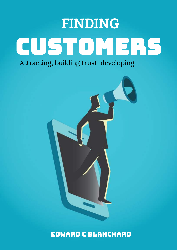# FINDING CUSTOMERs

Attracting, building trust, developing



Edward C Blanchard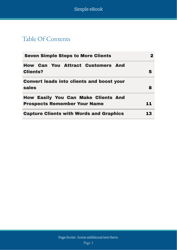Simple eBook

# Table Of Contents

| <b>Seven Simple Steps to More Clients</b>                                         |    |
|-----------------------------------------------------------------------------------|----|
| <b>How Can You Attract Customers And</b><br><b>Clients?</b>                       | 5  |
| <b>Convert leads into clients and boost your</b><br>sales                         | 8  |
| <b>How Easily You Can Make Clients And</b><br><b>Prospects Remember Your Name</b> | 11 |
| <b>Capture Clients with Words and Graphics</b>                                    | 13 |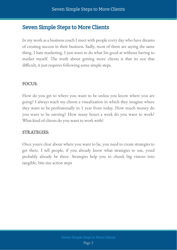## <span id="page-2-0"></span>Seven Simple Steps to More Clients

In my work as a business coach I meet with people every day who have dreams of creating success in their business. Sadly, most of them are saying the same thing, I hate marketing, I just want to do what Im good at without having to market myself. The truth about getting more clients is that its not that difficult, it just requires following some simple steps.

#### FOCUS:

How do you get to where you want to be unless you know where you are going? I always teach my clients a visualization in which they imagine where they want to be professionally in 1 year from today. How much money do you want to be earning? How many hours a week do you want to work? What kind of clients do you want to work with?

#### STRATEGIES:

Once youre clear about where you want to be, you need to create strategies to get there. I tell people, if you already knew what strategies to use, youd probably already be there. Strategies help you to chunk big visions into tangible, bite size action steps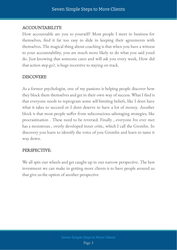#### ACCOUNTABILITY:

How accountable are you to yourself? Most people I meet in business for themselves, find it far too easy to slide in keeping their agreements with themselves. The magical thing about coaching is that when you have a witness to your accountability, you are much more likely to do what you said youd do. Just knowing that someone cares and will ask you every week, How did that action step go?, is huge incentive to staying on track.

#### DISCOVERY:

As a former psychologist, one of my passions is helping people discover how they block them themselves and get in their own way of success. What I find is that everyone needs to reprogram some self-limiting beliefs, like I dont have what it takes to succeed or I dont deserve to have a lot of money. Another block is that most people suffer from subconscious sabotaging strategies, like procrastination . These need to be reversed. Finally , everyone Ive ever met has a monstrous , overly developed inner critic, which I call the Gremlin. In discovery you learn to identify the voice of you Gremlin and learn to tame it way down.

#### PERSPECTIVE:

We all spin our wheels and get caught up in our narrow perspective. The best investment we can make in getting more clients is to have people around us that give us the option of another perspective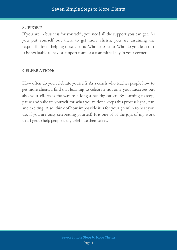#### SUPPORT:

If you are in business for yourself , you need all the support you can get. As you put yourself out there to get more clients, you are assuming the responsibility of helping these clients. Who helps you? Who do you lean on? It is invaluable to have a support team or a committed ally in your corner.

#### CELEBRATION:

How often do you celebrate yourself? As a coach who teaches people how to get more clients I find that learning to celebrate not only your successes but also your efforts is the way to a long a healthy career. By learning to stop, pause and validate yourself for what youve done keeps this process light , fun and exciting. Also, think of how impossible it is for your gremlin to beat you up, if you are busy celebrating yourself! It is one of of the joys of my work that I get to help people truly celebrate themselves.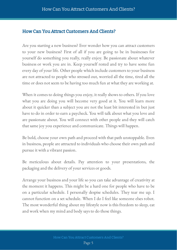#### <span id="page-5-0"></span>How Can You Attract Customers And Clients?

Are you starting a new business? Ever wonder how you can attract customers to your new business? First of all if you are going to be in businesses for yourself do something you really, really enjoy. Be passionate about whatever business or work you are in. Keep yourself rested and try to have some fun every day of your life. Other people which include customers to your business are not attracted to people who stressed out, worried all the time, tired all the time or does not seem to be having too much fun at what they are working at.

When it comes to doing things you enjoy, it really shows to others. If you love what you are doing you will become very good at it. You will learn more about it quicker than a subject you are not the least bit interested in but just have to do in order to earn a paycheck. You will talk about what you love and are passionate about. You will connect with other people and they will catch that same joy you experience and communicate. Things will happen.

Be bold, choose your own path and proceed with that path unstoppable. Even in business, people are attracted to individuals who choose their own path and pursue it with a vibrant passion.

Be meticulous about details. Pay attention to your presentations, the packaging and the delivery of your services or goods.

Arrange your business and your life so you can take advantage of creativity at the moment it happens. This might be a hard one for people who have to be on a particular schedule. I personally despise schedules. They tear me up. I cannot function on a set schedule. When I do I feel like someone elses robot. The most wonderful thing about my lifestyle now is this freedom to sleep, eat and work when my mind and body says to do those things.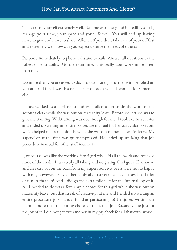Take care of yourself extremely well. Become extremely and incredibly selfish; manage your time, your space and your life well. You will end up having more to give and more to share. After all if you dont take care of yourself first and extremely well how can you expect to serve the needs of others?

Respond immediately to phone calls and e-mails. Answer all questions to the fullest of your ability. Go the extra mile. This really does work more often than not.

Do more than you are asked to do, provide more, go further with people than you are paid for. I was this type of person even when I worked for someone else.

I once worked as a clerk-typist and was called upon to do the work of the account clerk while she was out on maternity leave. Before she left she was to give me training. Well.training was not enough for me. I took extensive notes and ended up writing an entire procedure manual for her particular position, which helped me tremendously while she was out on her maternity leave. My supervisor at the time was quite impressed. He ended up utilizing that job procedure manual for other staff members.

I, of course, was like the working 9 to 5 girl who did all the work and received none of the credit. It was truly all taking and no giving. Oh I got a Thank-you and an extra pat on the back from my supervisor. My peers were not so happy with me, however. I stayed there only about a year needless to say. I had a lot of fun in that job! And.I did go the extra mile just for the internal joy of it. All I needed to do was a few simple chores for this girl while she was out on maternity leave, but that streak of creativity hit me and I ended up writing an entire procedure job manual for that particular job! I enjoyed writing the manual more than the boring chores of the actual job. So..add value just for the joy of it! I did not get extra money in my paycheck for all that extra work.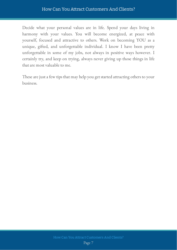#### How Can You Attract Customers And Clients?

Decide what your personal values are in life. Spend your days living in harmony with your values. You will become energized, at peace with yourself, focused and attractive to others. Work on becoming YOU as a unique, gifted, and unforgettable individual. I know I have been pretty unforgettable in some of my jobs, not always in positive ways however. I certainly try, and keep on trying, always never giving up those things in life that are most valuable to me.

These are just a few tips that may help you get started attracting others to your business.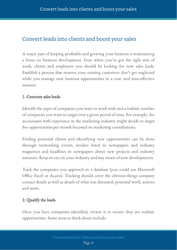## <span id="page-8-0"></span>Convert leads into clients and boost your sales

A major part of keeping profitable and growing your business is maintaining a focus on business development. Even when you've got the right mix of work, clients and employees you should be looking for new sales leads. Establish a process that ensures your existing customers don't get neglected while you manage new business opportunities in a cost- and time-effective manner.

#### 1. Generate sales leads.

Identify the types of companies you want to work with and a realistic number of companies you want to target over a given period of time. For example: An accountant with experience in the marketing industry might decide to target five opportunities per month focussed on marketing consultancies.

Finding potential clients and identifying new opportunities can be done through networking events, tenders listed in newspapers and industry magazines and headlines in newspapers about new projects and industry seminars. Keep an eye on your industry and stay aware of new developments.

Track the companies you approach in a database (you could use Microsoft Office Excel or Access). Tracking should cover the obvious things company contact details as well as details of what was discussed, potential work, actions and more.

#### 2. Qualify the leads.

Once you have companies identified, review it to ensure they are realistic opportunities. Some areas to think about include: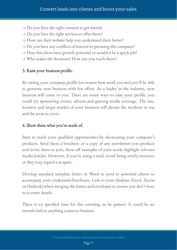- -> Do you have the right contacts to get started.
- $\rightarrow$  Do you have the right services to offer them?
- -> How can their website help you understand them better?
- -> Do you have any conflicts of interest in pursuing this company?
- -> Does this client have growth potential or would it be a quick job?
- -> Who makes the decisions? How can you reach them?

#### 3. Raise your business profile.

By raising your company profile (no matter how small you are) you'll be able to generate new business with less effort. As a leader in the industry, new business will come to you. There are many ways to raise your profile; you could try sponsoring events, adverts and gaining media coverage. The size, location and target market of your business will dictate the medium to use and the areas to cover.

#### 4. Show them what you're made of.

Start to reach your qualified opportunities by showcasing your company's products. Send them a brochure or a copy of any newsletters you produce and invite them to join; show off examples of your work; highlight relevant media articles. However, if you're using e-mail, avoid being overly intrusive or they may regard it as spam.

Develop standard template letters in Word to send to potential clients to accompany your credentials/brochures. Link to your database (Excel, Access or Outlook) when merging the letters and envelopes to ensure you don't have to re-enter details.

There is no specified time for this courting, so be patient. It could be six months before anything comes to fruition.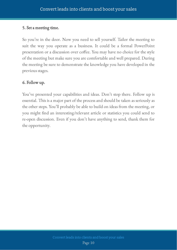#### 5. Set a meeting time.

So you're in the door. Now you need to sell yourself. Tailor the meeting to suit the way you operate as a business. It could be a formal PowerPoint presentation or a discussion over coffee. You may have no choice for the style of the meeting but make sure you are comfortable and well prepared. During the meeting be sure to demonstrate the knowledge you have developed in the previous stages.

#### 6. Follow up.

You've presented your capabilities and ideas. Don't stop there. Follow up is essential. This is a major part of the process and should be taken as seriously as the other steps. You'll probably be able to build on ideas from the meeting, or you might find an interesting/relevant article or statistics you could send to re-open discussion. Even if you don't have anything to send, thank them for the opportunity.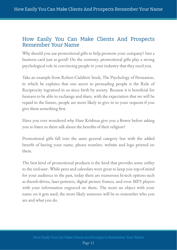#### <span id="page-11-0"></span>How Easily You Can Make Clients And Prospects Remember Your Name

Why should you use promotional gifts to help promote your company? Isnt a business card just as good? On the contrary, promotional gifts play a strong psychological role in convincing people in your industry that they need you.

Take an example from Robert Cialdinis' book, The Psychology of Persuasion, in which he explains that one secret to persuading people is the Rule of Reciprocity ingrained in us since birth by society. Because it is beneficial for humans to be able to exchange and share, with the expectation that we will be repaid in the future, people are more likely to give in to your requests if you give them something first.

Have you ever wondered why Hare Krishnas give you a flower before asking you to listen to them talk about the benefits of their religion?

Promotional gifts fall into the same general category but with the added benefit of having your name, phone number, website and logo printed on them.

The best kind of promotional products is the kind that provides some utility to the end-user. While pens and calendars were great to keep you top-of-mind for your audience in the past, today there are numerous hi-tech options such as thumb-drives, laser-pointers, digital picture frames, and even MP3 players with your information engraved on them. The more an object with your name on it gets used, the more likely someone will be to remember who you are and what you do.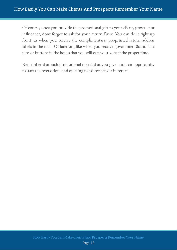Of course, once you provide the promotional gift to your client, prospect or influencer, dont forgot to ask for your return favor. You can do it right up front, as when you receive the complimentary, pre-printed return address labels in the mail. Or later on, like when you receive government0candidate pins or buttons in the hopes that you will cats your vote at the proper time.

Remember that each promotional object that you give out is an opportunity to start a conversation, and opening to ask for a favor in return.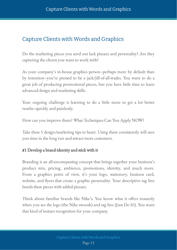# <span id="page-13-0"></span>Capture Clients with Words and Graphics

Do the marketing pieces you send out lack pizzazz and personality? Are they capturing the clients you want to work with?

As your company's in-house graphics person–perhaps more by default than by intention–you're pressed to be a jack/jill-of-all-trades. You want to do a great job of producing promotional pieces, but you have little time to learn advanced design and marketing skills.

Your ongoing challenge is learning to do a little more to get a lot better results–quickly and painlessly.

How can you improve them? What Techniques Can You Apply NOW?

Take these 5 design/marketing tips to heart. Using them consistently will save you time in the long run and attract more customers.

#### #1 Develop a brand identity and stick with it

Branding is an all-encompassing concept that brings together your business's product mix, pricing, ambience, promotions, identity, and much more. From a graphics point of view, it's your logo, stationery, business card, website, and flyers that create a graphic personality. Your descriptive tag line bonds these pieces with added pizzazz.

Think about familiar brands like Nike's. You know what it offers instantly when you see the logo (the Nike swoosh) and tag line (Just Do It!). You want that kind of instant recognition for your company.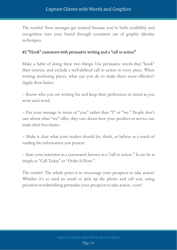#### Capture Clients with Words and Graphics

The results? Your messages get noticed because you've built credibility and recognition into your brand through consistent use of graphic identity techniques.

#### #2 "Hook" customers with persuasive writing and a "call to action"

Make a habit of doing these two things: Use persuasive words that "hook" their interest, and include a well-defined call to action in every piece. When writing marketing pieces, what can you do to make them more effective? Apply these basics:

– Know who you are writing for and keep their preferences in mind as you write each word.

– Put your message in terms of "you" rather than "I" or "we." People don't care about what "we" offer; they care about how your product or service can make their lives better.

– Make it clear what your readers should do, think, or believe as a result of reading the information you present.

– State your intention as a command–known as a "call to action." It can be as simple as "Call Today" or "Order It Now."

The results? The whole point is to encourage your prospects to take action! Whether it's to send an email or pick up the phone and call you, using precision wordsmithing persuades your prospects to take action…now!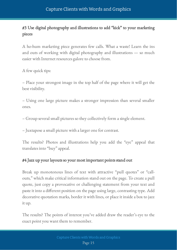#### Capture Clients with Words and Graphics

#### #3 Use digital photography and illustrations to add "kick" to your marketing pieces

A ho-hum marketing piece generates few calls. What a waste! Learn the ins and outs of working with digital photography and illustrations — so much easier with Internet resources galore to choose from.

A few quick tips:

– Place your strongest image in the top half of the page where it will get the best visibility.

– Using one large picture makes a stronger impression than several smaller ones.

– Group several small pictures so they collectively form a single element.

– Juxtapose a small picture with a larger one for contrast.

The results? Photos and illustrations help you add the "eye" appeal that translates into "buy" appeal.

#### #4 Jazz up your layouts so your most important points stand out

Break up monotonous lines of text with attractive "pull quotes" or "callouts," which make critical information stand out on the page. To create a pull quote, just copy a provocative or challenging statement from your text and paste it into a different position on the page using large, contrasting type. Add decorative quotation marks, border it with lines, or place it inside a box to jazz it up.

The results? The points of interest you've added draw the reader's eye to the exact point you want them to remember.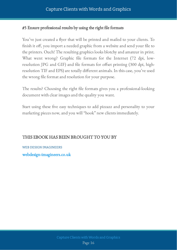#### #5 Ensure professional results by using the right file formats

You've just created a flyer that will be printed and mailed to your clients. To finish it off, you import a needed graphic from a website and send your file to the printers. Ouch! The resulting graphics looks blotchy and amateur in print. What went wrong? Graphic file formats for the Internet (72 dpi, lowresolution JPG and GIF) and file formats for offset printing (300 dpi, highresolution TIF and EPS) are totally different animals. In this case, you've used the wrong file format and resolution for your purpose.

The results? Choosing the right file formats gives you a professional-looking document with clear images and the quality you want.

Start using these five easy techniques to add pizzazz and personality to your marketing pieces now, and you will "hook" new clients immediately.

#### THIS EBOOK HAS BEEN BROUGHT TO YOU BY

WEB DESIGN IMAGINEERS [webdesign-imagineers.co.uk](https://webdesign-imagineers.co.uk/)